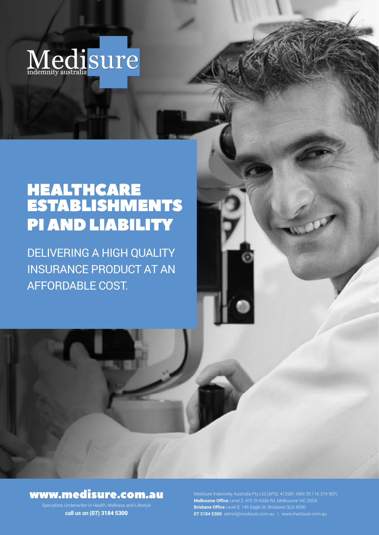

# HEALTHCARE ESTABLISHMENTS PI AND LIABILITY

DELIVERING A HIGH QUALITY INSURANCE PRODUCT AT AN AFFORDABLE COST.

## www.medisure.com.au

Specialists Underwriter in Health, Wellness and Lifestyle **call us on** (07) 3184 5300

**Melbourne Office** Level 2, 476 St Kilda Rd, Melbourne VIC 3004 **Brisbane Office** Level 8, 145 Eagle St, Brisbane QLD 4000 **07 3184 5300** admin@medisure.com.au | www.medisure.com.au